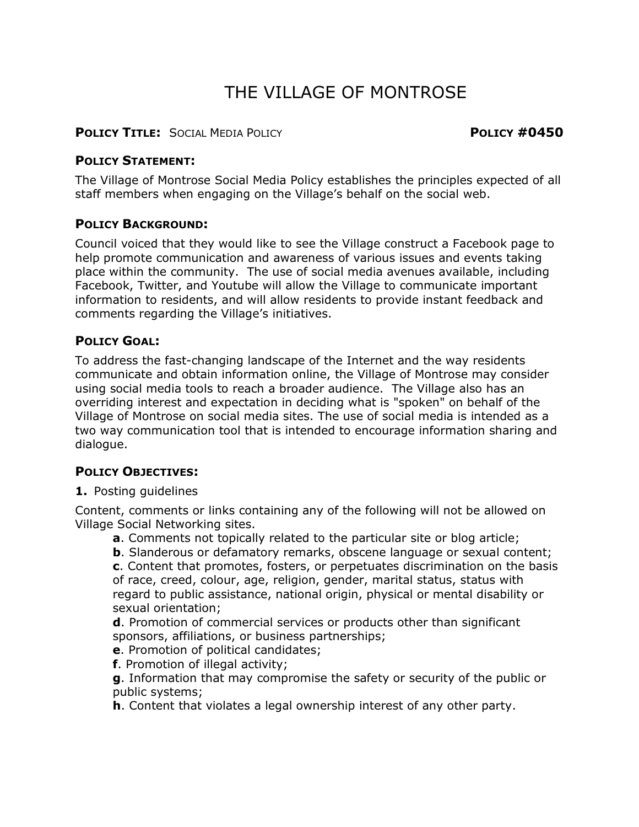# THE VILLAGE OF MONTROSE

#### **POLICY TITLE:** SOCIAL MEDIA POLICY **POLICY #0450**

#### **POLICY STATEMENT:**

The Village of Montrose Social Media Policy establishes the principles expected of all staff members when engaging on the Village's behalf on the social web.

# **POLICY BACKGROUND:**

Council voiced that they would like to see the Village construct a Facebook page to help promote communication and awareness of various issues and events taking place within the community. The use of social media avenues available, including Facebook, Twitter, and Youtube will allow the Village to communicate important information to residents, and will allow residents to provide instant feedback and comments regarding the Village's initiatives.

#### **POLICY GOAL:**

To address the fast-changing landscape of the Internet and the way residents communicate and obtain information online, the Village of Montrose may consider using social media tools to reach a broader audience. The Village also has an overriding interest and expectation in deciding what is "spoken" on behalf of the Village of Montrose on social media sites. The use of social media is intended as a two way communication tool that is intended to encourage information sharing and dialogue.

# **POLICY OBJECTIVES:**

**1.** Posting guidelines

Content, comments or links containing any of the following will not be allowed on Village Social Networking sites.

**a**. Comments not topically related to the particular site or blog article;

**b**. Slanderous or defamatory remarks, obscene language or sexual content;

**c**. Content that promotes, fosters, or perpetuates discrimination on the basis of race, creed, colour, age, religion, gender, marital status, status with regard to public assistance, national origin, physical or mental disability or sexual orientation;

**d**. Promotion of commercial services or products other than significant sponsors, affiliations, or business partnerships;

**e**. Promotion of political candidates;

**f**. Promotion of illegal activity;

**g**. Information that may compromise the safety or security of the public or public systems;

**h**. Content that violates a legal ownership interest of any other party.